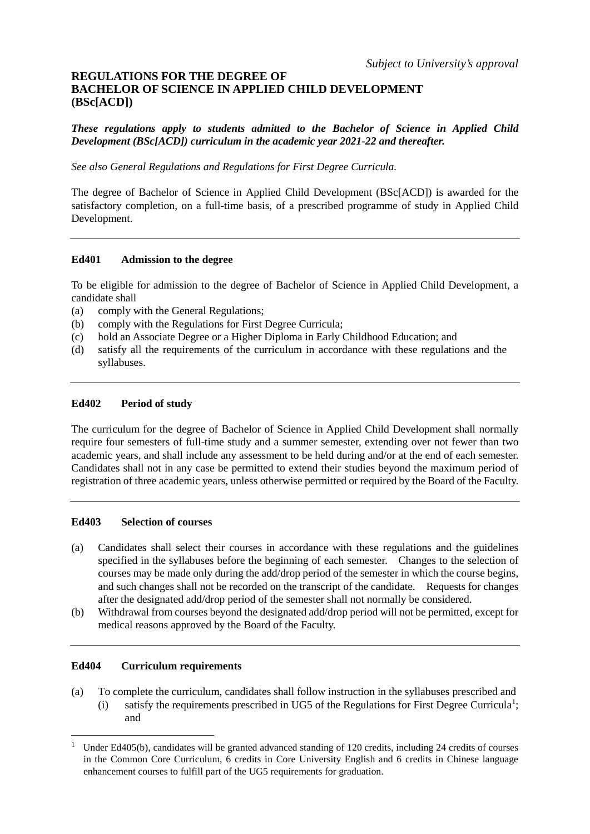# **REGULATIONS FOR THE DEGREE OF BACHELOR OF SCIENCE IN APPLIED CHILD DEVELOPMENT (BSc[ACD])**

*These regulations apply to students admitted to the Bachelor of Science in Applied Child Development (BSc[ACD]) curriculum in the academic year 2021-22 and thereafter.* 

*See also General Regulations and Regulations for First Degree Curricula.*

The degree of Bachelor of Science in Applied Child Development (BSc[ACD]) is awarded for the satisfactory completion, on a full-time basis, of a prescribed programme of study in Applied Child Development.

# **Ed401 Admission to the degree**

To be eligible for admission to the degree of Bachelor of Science in Applied Child Development, a candidate shall

- (a) comply with the General Regulations;
- (b) comply with the Regulations for First Degree Curricula;
- (c) hold an Associate Degree or a Higher Diploma in Early Childhood Education; and
- (d) satisfy all the requirements of the curriculum in accordance with these regulations and the syllabuses.

# **Ed402 Period of study**

The curriculum for the degree of Bachelor of Science in Applied Child Development shall normally require four semesters of full-time study and a summer semester, extending over not fewer than two academic years, and shall include any assessment to be held during and/or at the end of each semester. Candidates shall not in any case be permitted to extend their studies beyond the maximum period of registration of three academic years, unless otherwise permitted or required by the Board of the Faculty.

# **Ed403 Selection of courses**

- (a) Candidates shall select their courses in accordance with these regulations and the guidelines specified in the syllabuses before the beginning of each semester. Changes to the selection of courses may be made only during the add/drop period of the semester in which the course begins, and such changes shall not be recorded on the transcript of the candidate. Requests for changes after the designated add/drop period of the semester shall not normally be considered.
- (b) Withdrawal from courses beyond the designated add/drop period will not be permitted, except for medical reasons approved by the Board of the Faculty.

# **Ed404 Curriculum requirements**

and

- (a) To complete the curriculum, candidates shall follow instruction in the syllabuses prescribed and  $(i)$  satisfy the requirements prescribed in UG5 of the Regulations for First Degree Curricula<sup>[1](#page-0-0)</sup>;
- <span id="page-0-0"></span><sup>1</sup> Under Ed405(b), candidates will be granted advanced standing of 120 credits, including 24 credits of courses in the Common Core Curriculum, 6 credits in Core University English and 6 credits in Chinese language enhancement courses to fulfill part of the UG5 requirements for graduation.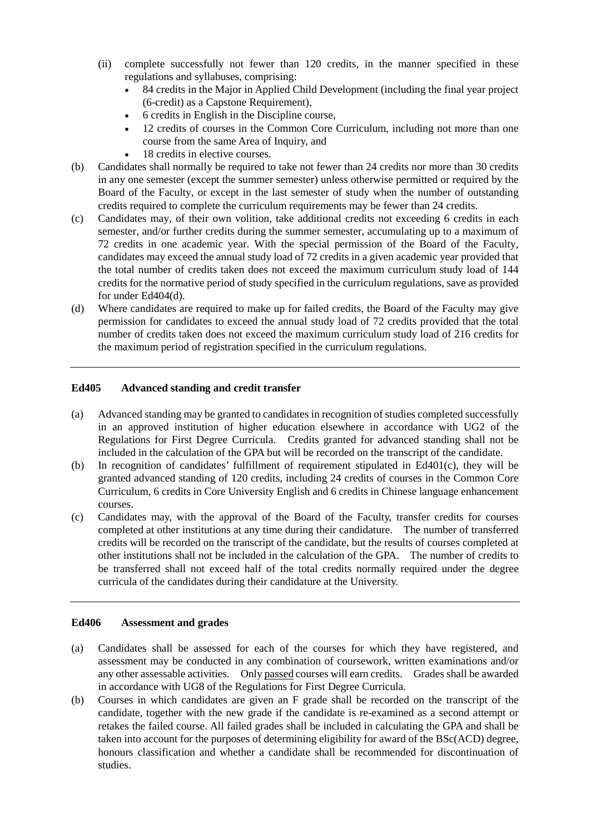- (ii) complete successfully not fewer than 120 credits, in the manner specified in these regulations and syllabuses, comprising:
	- 84 credits in the Major in Applied Child Development (including the final year project (6-credit) as a Capstone Requirement),
	- 6 credits in English in the Discipline course,
	- 12 credits of courses in the Common Core Curriculum, including not more than one course from the same Area of Inquiry, and
	- 18 credits in elective courses.
- (b) Candidates shall normally be required to take not fewer than 24 credits nor more than 30 credits in any one semester (except the summer semester) unless otherwise permitted or required by the Board of the Faculty, or except in the last semester of study when the number of outstanding credits required to complete the curriculum requirements may be fewer than 24 credits.
- (c) Candidates may, of their own volition, take additional credits not exceeding 6 credits in each semester, and/or further credits during the summer semester, accumulating up to a maximum of 72 credits in one academic year. With the special permission of the Board of the Faculty, candidates may exceed the annual study load of 72 credits in a given academic year provided that the total number of credits taken does not exceed the maximum curriculum study load of 144 credits for the normative period of study specified in the curriculum regulations, save as provided for under Ed404(d).
- (d) Where candidates are required to make up for failed credits, the Board of the Faculty may give permission for candidates to exceed the annual study load of 72 credits provided that the total number of credits taken does not exceed the maximum curriculum study load of 216 credits for the maximum period of registration specified in the curriculum regulations.

# **Ed405 Advanced standing and credit transfer**

- (a) Advanced standing may be granted to candidates in recognition of studies completed successfully in an approved institution of higher education elsewhere in accordance with UG2 of the Regulations for First Degree Curricula. Credits granted for advanced standing shall not be included in the calculation of the GPA but will be recorded on the transcript of the candidate.
- (b) In recognition of candidates' fulfillment of requirement stipulated in Ed401(c), they will be granted advanced standing of 120 credits, including 24 credits of courses in the Common Core Curriculum, 6 credits in Core University English and 6 credits in Chinese language enhancement courses.
- (c) Candidates may, with the approval of the Board of the Faculty, transfer credits for courses completed at other institutions at any time during their candidature. The number of transferred credits will be recorded on the transcript of the candidate, but the results of courses completed at other institutions shall not be included in the calculation of the GPA. The number of credits to be transferred shall not exceed half of the total credits normally required under the degree curricula of the candidates during their candidature at the University.

# **Ed406 Assessment and grades**

- (a) Candidates shall be assessed for each of the courses for which they have registered, and assessment may be conducted in any combination of coursework, written examinations and/or any other assessable activities. Only passed courses will earn credits. Grades shall be awarded in accordance with UG8 of the Regulations for First Degree Curricula.
- (b) Courses in which candidates are given an F grade shall be recorded on the transcript of the candidate, together with the new grade if the candidate is re-examined as a second attempt or retakes the failed course. All failed grades shall be included in calculating the GPA and shall be taken into account for the purposes of determining eligibility for award of the BSc(ACD) degree, honours classification and whether a candidate shall be recommended for discontinuation of studies.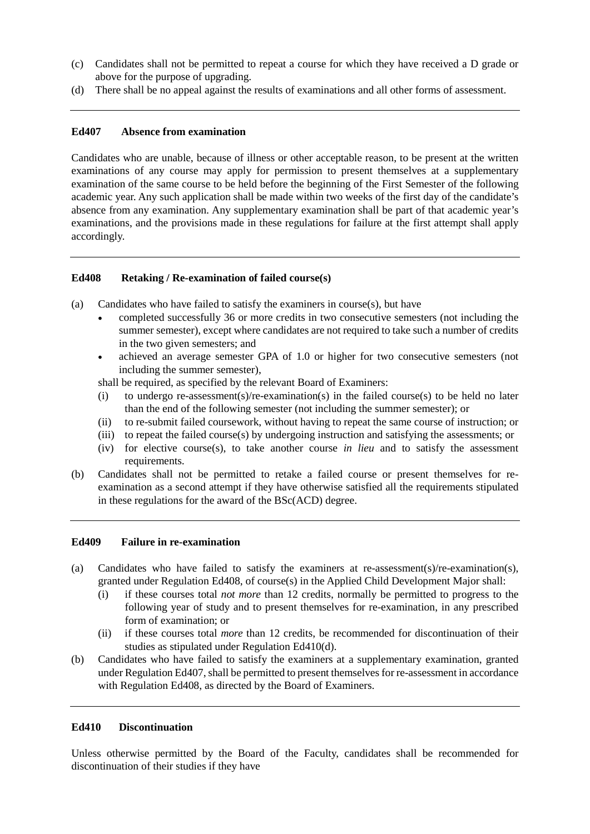- (c) Candidates shall not be permitted to repeat a course for which they have received a D grade or above for the purpose of upgrading.
- (d) There shall be no appeal against the results of examinations and all other forms of assessment.

# **Ed407 Absence from examination**

Candidates who are unable, because of illness or other acceptable reason, to be present at the written examinations of any course may apply for permission to present themselves at a supplementary examination of the same course to be held before the beginning of the First Semester of the following academic year. Any such application shall be made within two weeks of the first day of the candidate's absence from any examination. Any supplementary examination shall be part of that academic year's examinations, and the provisions made in these regulations for failure at the first attempt shall apply accordingly.

# **Ed408 Retaking / Re-examination of failed course(s)**

- (a) Candidates who have failed to satisfy the examiners in course(s), but have
	- completed successfully 36 or more credits in two consecutive semesters (not including the summer semester), except where candidates are not required to take such a number of credits in the two given semesters; and
	- achieved an average semester GPA of 1.0 or higher for two consecutive semesters (not including the summer semester),

shall be required, as specified by the relevant Board of Examiners:

- (i) to undergo re-assessment(s)/re-examination(s) in the failed course(s) to be held no later than the end of the following semester (not including the summer semester); or
- (ii) to re-submit failed coursework, without having to repeat the same course of instruction; or
- (iii) to repeat the failed course(s) by undergoing instruction and satisfying the assessments; or
- (iv) for elective course(s), to take another course *in lieu* and to satisfy the assessment requirements.
- (b) Candidates shall not be permitted to retake a failed course or present themselves for reexamination as a second attempt if they have otherwise satisfied all the requirements stipulated in these regulations for the award of the BSc(ACD) degree.

# **Ed409 Failure in re-examination**

- (a) Candidates who have failed to satisfy the examiners at re-assessment(s)/re-examination(s), granted under Regulation Ed408, of course(s) in the Applied Child Development Major shall:
	- (i) if these courses total *not more* than 12 credits, normally be permitted to progress to the following year of study and to present themselves for re-examination, in any prescribed form of examination; or
	- (ii) if these courses total *more* than 12 credits, be recommended for discontinuation of their studies as stipulated under Regulation Ed410(d).
- (b) Candidates who have failed to satisfy the examiners at a supplementary examination, granted under Regulation Ed407, shall be permitted to present themselves for re-assessment in accordance with Regulation Ed408, as directed by the Board of Examiners.

# **Ed410 Discontinuation**

Unless otherwise permitted by the Board of the Faculty, candidates shall be recommended for discontinuation of their studies if they have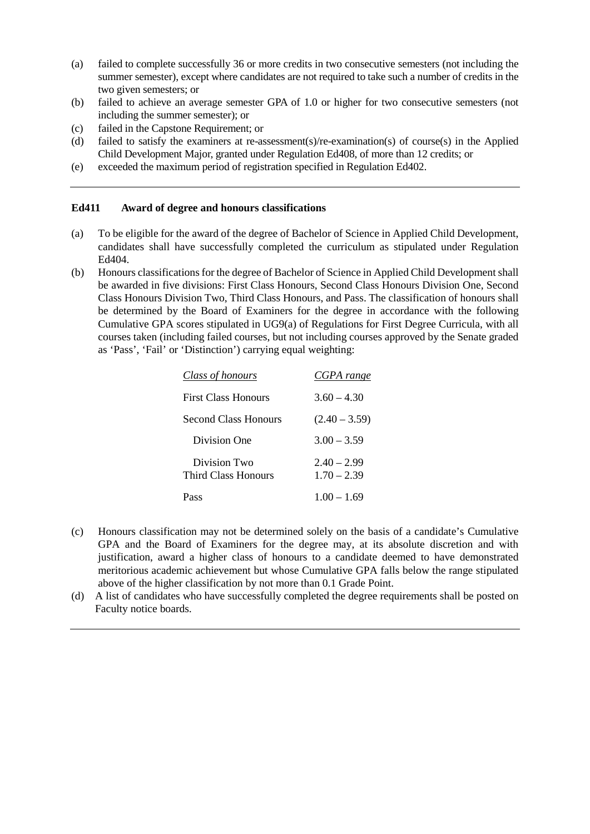- (a) failed to complete successfully 36 or more credits in two consecutive semesters (not including the summer semester), except where candidates are not required to take such a number of credits in the two given semesters; or
- (b) failed to achieve an average semester GPA of 1.0 or higher for two consecutive semesters (not including the summer semester); or
- (c) failed in the Capstone Requirement; or
- (d) failed to satisfy the examiners at re-assessment(s)/re-examination(s) of course(s) in the Applied Child Development Major, granted under Regulation Ed408, of more than 12 credits; or
- (e) exceeded the maximum period of registration specified in Regulation Ed402.

# **Ed411 Award of degree and honours classifications**

- (a) To be eligible for the award of the degree of Bachelor of Science in Applied Child Development, candidates shall have successfully completed the curriculum as stipulated under Regulation Ed404.
- (b) Honours classifications for the degree of Bachelor of Science in Applied Child Development shall be awarded in five divisions: First Class Honours, Second Class Honours Division One, Second Class Honours Division Two, Third Class Honours, and Pass. The classification of honours shall be determined by the Board of Examiners for the degree in accordance with the following Cumulative GPA scores stipulated in UG9(a) of Regulations for First Degree Curricula, with all courses taken (including failed courses, but not including courses approved by the Senate graded as 'Pass', 'Fail' or 'Distinction') carrying equal weighting:

| <b>Class of honours</b>             | CGPA range                     |
|-------------------------------------|--------------------------------|
| First Class Honours                 | $3.60 - 4.30$                  |
| Second Class Honours                | $(2.40 - 3.59)$                |
| Division One                        | $3.00 - 3.59$                  |
| Division Two<br>Third Class Honours | $2.40 - 2.99$<br>$1.70 - 2.39$ |
| Pass                                | $1.00 - 1.69$                  |

- (c) Honours classification may not be determined solely on the basis of a candidate's Cumulative GPA and the Board of Examiners for the degree may, at its absolute discretion and with justification, award a higher class of honours to a candidate deemed to have demonstrated meritorious academic achievement but whose Cumulative GPA falls below the range stipulated above of the higher classification by not more than 0.1 Grade Point.
- (d) A list of candidates who have successfully completed the degree requirements shall be posted on Faculty notice boards.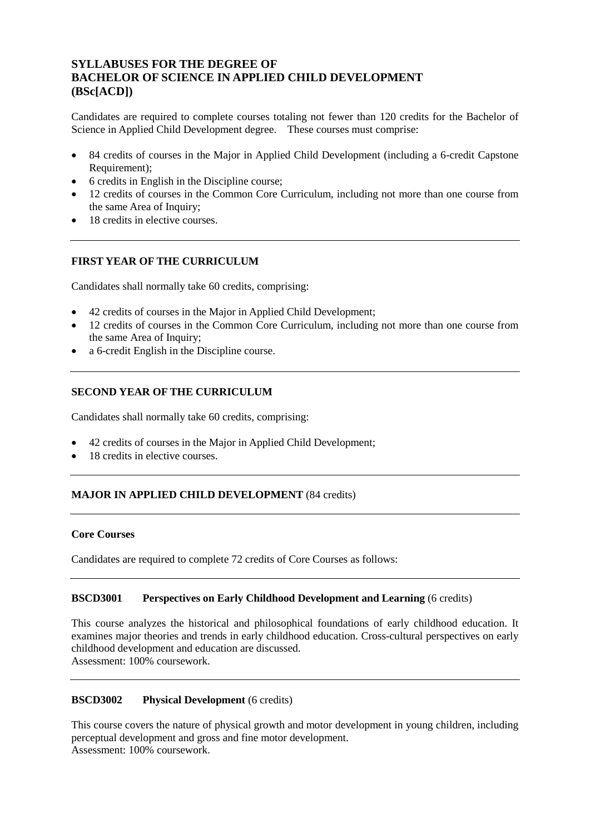# **SYLLABUSES FOR THE DEGREE OF BACHELOR OF SCIENCE IN APPLIED CHILD DEVELOPMENT (BSc[ACD])**

Candidates are required to complete courses totaling not fewer than 120 credits for the Bachelor of Science in Applied Child Development degree. These courses must comprise:

- 84 credits of courses in the Major in Applied Child Development (including a 6-credit Capstone Requirement);
- 6 credits in English in the Discipline course;
- 12 credits of courses in the Common Core Curriculum, including not more than one course from the same Area of Inquiry;
- 18 credits in elective courses.

# **FIRST YEAR OF THE CURRICULUM**

Candidates shall normally take 60 credits, comprising:

- 42 credits of courses in the Major in Applied Child Development;
- 12 credits of courses in the Common Core Curriculum, including not more than one course from the same Area of Inquiry;
- a 6-credit English in the Discipline course.

# **SECOND YEAR OF THE CURRICULUM**

Candidates shall normally take 60 credits, comprising:

- 42 credits of courses in the Major in Applied Child Development;
- 18 credits in elective courses.

# **MAJOR IN APPLIED CHILD DEVELOPMENT** (84 credits)

# **Core Courses**

Candidates are required to complete 72 credits of Core Courses as follows:

# **BSCD3001 Perspectives on Early Childhood Development and Learning** (6 credits)

This course analyzes the historical and philosophical foundations of early childhood education. It examines major theories and trends in early childhood education. Cross-cultural perspectives on early childhood development and education are discussed. Assessment: 100% coursework.

# **BSCD3002 Physical Development** (6 credits)

This course covers the nature of physical growth and motor development in young children, including perceptual development and gross and fine motor development. Assessment: 100% coursework.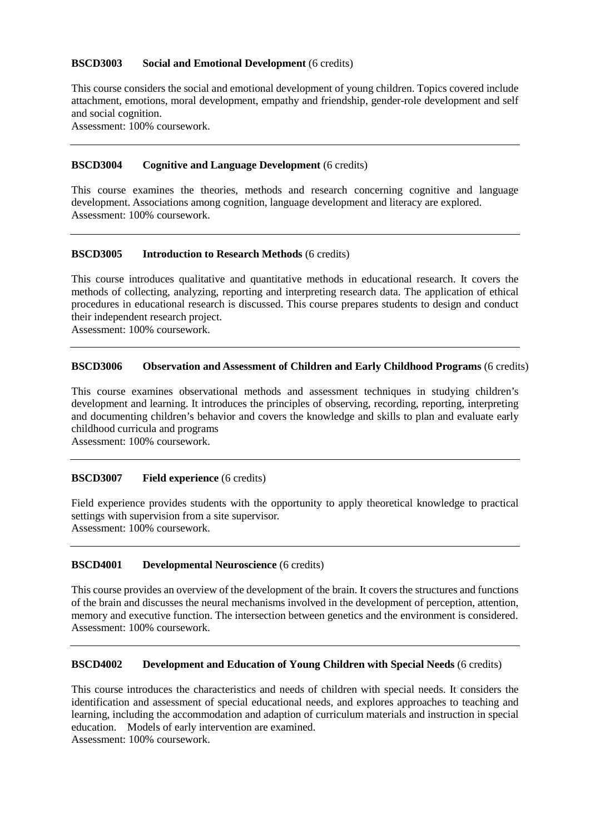# **BSCD3003 Social and Emotional Development** (6 credits)

This course considers the social and emotional development of young children. Topics covered include attachment, emotions, moral development, empathy and friendship, gender-role development and self and social cognition.

Assessment: 100% coursework.

# **BSCD3004 Cognitive and Language Development** (6 credits)

This course examines the theories, methods and research concerning cognitive and language development. Associations among cognition, language development and literacy are explored. Assessment: 100% coursework.

#### **BSCD3005 Introduction to Research Methods** (6 credits)

This course introduces qualitative and quantitative methods in educational research. It covers the methods of collecting, analyzing, reporting and interpreting research data. The application of ethical procedures in educational research is discussed. This course prepares students to design and conduct their independent research project.

Assessment: 100% coursework.

#### **BSCD3006 Observation and Assessment of Children and Early Childhood Programs** (6 credits)

This course examines observational methods and assessment techniques in studying children's development and learning. It introduces the principles of observing, recording, reporting, interpreting and documenting children's behavior and covers the knowledge and skills to plan and evaluate early childhood curricula and programs

Assessment: 100% coursework.

#### **BSCD3007 Field experience** (6 credits)

Field experience provides students with the opportunity to apply theoretical knowledge to practical settings with supervision from a site supervisor. Assessment: 100% coursework.

#### **BSCD4001 Developmental Neuroscience** (6 credits)

This course provides an overview of the development of the brain. It covers the structures and functions of the brain and discusses the neural mechanisms involved in the development of perception, attention, memory and executive function. The intersection between genetics and the environment is considered. Assessment: 100% coursework.

#### **BSCD4002 Development and Education of Young Children with Special Needs** (6 credits)

This course introduces the characteristics and needs of children with special needs. It considers the identification and assessment of special educational needs, and explores approaches to teaching and learning, including the accommodation and adaption of curriculum materials and instruction in special education. Models of early intervention are examined.

Assessment: 100% coursework.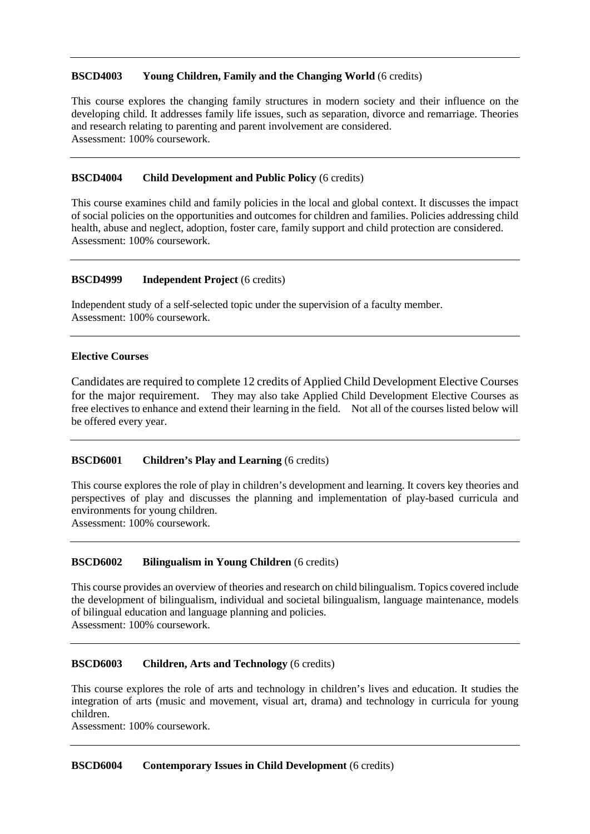# **BSCD4003 Young Children, Family and the Changing World** (6 credits)

This course explores the changing family structures in modern society and their influence on the developing child. It addresses family life issues, such as separation, divorce and remarriage. Theories and research relating to parenting and parent involvement are considered. Assessment: 100% coursework.

# **BSCD4004 Child Development and Public Policy** (6 credits)

This course examines child and family policies in the local and global context. It discusses the impact of social policies on the opportunities and outcomes for children and families. Policies addressing child health, abuse and neglect, adoption, foster care, family support and child protection are considered. Assessment: 100% coursework.

# **BSCD4999 Independent Project** (6 credits)

Independent study of a self-selected topic under the supervision of a faculty member. Assessment: 100% coursework.

# **Elective Courses**

Candidates are required to complete 12 credits of Applied Child Development Elective Courses for the major requirement. They may also take Applied Child Development Elective Courses as free electives to enhance and extend their learning in the field. Not all of the courses listed below will be offered every year.

# **BSCD6001 Children's Play and Learning** (6 credits)

This course explores the role of play in children's development and learning. It covers key theories and perspectives of play and discusses the planning and implementation of play-based curricula and environments for young children.

Assessment: 100% coursework.

# **BSCD6002 Bilingualism in Young Children** (6 credits)

This course provides an overview of theories and research on child bilingualism. Topics covered include the development of bilingualism, individual and societal bilingualism, language maintenance, models of bilingual education and language planning and policies. Assessment: 100% coursework.

# **BSCD6003 Children, Arts and Technology** (6 credits)

This course explores the role of arts and technology in children's lives and education. It studies the integration of arts (music and movement, visual art, drama) and technology in curricula for young children.

Assessment: 100% coursework.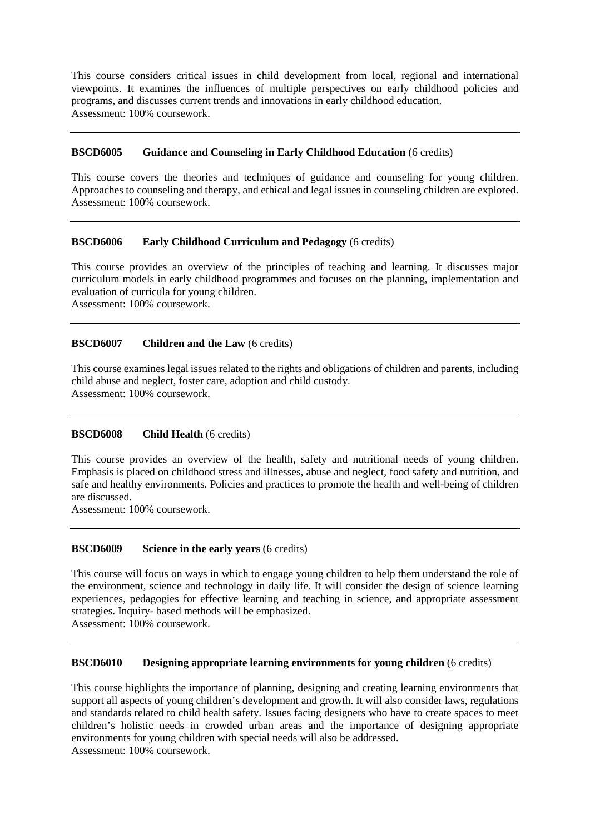This course considers critical issues in child development from local, regional and international viewpoints. It examines the influences of multiple perspectives on early childhood policies and programs, and discusses current trends and innovations in early childhood education. Assessment: 100% coursework.

# **BSCD6005 Guidance and Counseling in Early Childhood Education** (6 credits)

This course covers the theories and techniques of guidance and counseling for young children. Approaches to counseling and therapy, and ethical and legal issues in counseling children are explored. Assessment: 100% coursework.

# **BSCD6006 Early Childhood Curriculum and Pedagogy** (6 credits)

This course provides an overview of the principles of teaching and learning. It discusses major curriculum models in early childhood programmes and focuses on the planning, implementation and evaluation of curricula for young children.

Assessment: 100% coursework.

# **BSCD6007 Children and the Law** (6 credits)

This course examines legal issues related to the rights and obligations of children and parents, including child abuse and neglect, foster care, adoption and child custody. Assessment: 100% coursework.

# **BSCD6008 Child Health** (6 credits)

This course provides an overview of the health, safety and nutritional needs of young children. Emphasis is placed on childhood stress and illnesses, abuse and neglect, food safety and nutrition, and safe and healthy environments. Policies and practices to promote the health and well-being of children are discussed.

Assessment: 100% coursework.

# **BSCD6009 Science in the early years** (6 credits)

This course will focus on ways in which to engage young children to help them understand the role of the environment, science and technology in daily life. It will consider the design of science learning experiences, pedagogies for effective learning and teaching in science, and appropriate assessment strategies. Inquiry- based methods will be emphasized. Assessment: 100% coursework.

# **BSCD6010 Designing appropriate learning environments for young children** (6 credits)

This course highlights the importance of planning, designing and creating learning environments that support all aspects of young children's development and growth. It will also consider laws, regulations and standards related to child health safety. Issues facing designers who have to create spaces to meet children's holistic needs in crowded urban areas and the importance of designing appropriate environments for young children with special needs will also be addressed. Assessment: 100% coursework.